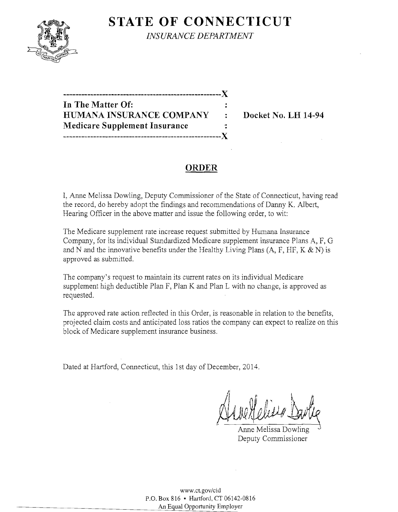# **STATE OF CONNECTICUT**



*INSURANCE DEPARTMENT* 

**-----------------------------------------------------)( In The Matter Of: HUMANA INSURANCE COMPANY : Docket No. LH 14-94 Medicare Supplement Insurance** ': **-----------------------------------------------------)(** 

# **ORDER**

I, Anne Melissa Dowling, Deputy Commissioner of the State of Connecticut, having read the record, do hereby adopt the findings and recommendations of Danny K. Albert, Hearing Officer in the above matter and issue the following order, to wit:

The Medicare supplement rate increase request submitted by Humana Insurance Company, for its individual Standardized Medicare supplement insurance Plans A, F, G and N and the innovative benefits under the Healthy Living Plans  $(A, F, HF, K & N)$  is approved as submitted.

The company's request to maintain its current rates on its individual Medicare supplement high deductible Plan F, Plan K and Plan L with no change, is approved as requested.

The approved rate action reflected in this Order, is reasonable in relation to the benefits, projected claim costs and anticipated loss ratios the company can expect to realize on this block of Medicare supplement insurance business.

Dated at Hartford, Connecticut, this 1st day of December, 2014.

Alve Melesso Dan

 Anne Melissa Dowling Deputy Commissioner

www.ct.gov/cid P.O. Box 816 • Hartford, CT 06142-0816 An Equal Opportunity Employer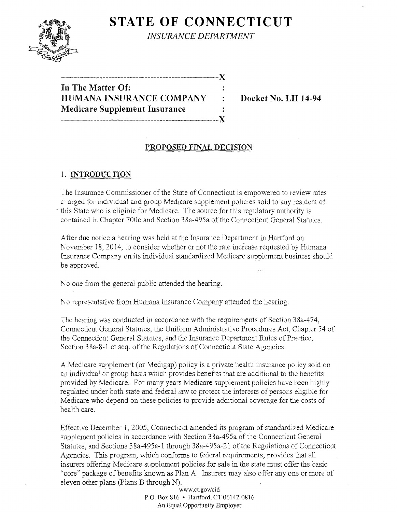

**STATE OF CONNECTICUT** 

*INSURANCE DEPARTMENT* 

**-----------------------------------------------------)(** 

**In The Matter Of: HUMANA INSURANCE COMPANY : Docket No. LH 14-94 Medicare Supplement Insurance -----------------------------------------------------)(** 

### **PROPOSED FINAL DECISION**

## 1. **INTRODUCTION**

The Insurance Commissioner of the State of Connecticut is empowered to review rates charged for individual and group Medicare supplement policies sold to any resident of this State who is eligible for Medicare. The source for this regulatory authority is contained in Chapter 700c and Section 38a-495a of the Connecticut General Statutes.

After due notice a hearing was held at the Insurance Department in Hartford on November 18,2014, to consider whether or not the rate increase requested by Humana Insurance Company on its individual standardized Medicare supplement business should be approved.

No one from the general public attended the hearing.

No representative from Humana Insurance Company attended the hearing.

The hearing was conducted in accordance with the requirements of Section 38a-474, Connecticut General Statutes, the Uniform Administrative Procedures Act, Chapter 54 of the Connecticut General Statutes, and the Insurance Department Rules of Practice, Section 38a-8-1 et seq. of the Regulations of Connecticut State Agencies.

A Medicare supplement (or Medigap) policy is a private health insurance policy sold on an individual or group basis which provides benefits that are additional to the benefits provided by Medicare. For many years Medicare supplement policies have been highly regulated under both state and federal law to protect the interests of persons eligible for Medicare who depend on these policies to provide additional coverage for the costs of health care.

Effective December 1,2005, Connecticut amended its program of standardized Medicare supplement policies in accordance with Section 38a-495a of the Connecticut General Statutes, and Sections 38a-495a-1 through 38a-495a-21 of the Regulations of Connecticut Agencies. This program, which conforms to federal requirements, provides that all insurers offering Medicare supplement policies for sale in the state must offer the basic "core" package of benefits known as Plan A. Insurers may also offer anyone or more of eleven other plans (plans B through N).

www.ct.gov/cid P.O. Box 816 • Hartford, CT 06142-0816 An Equal Opportunity Employer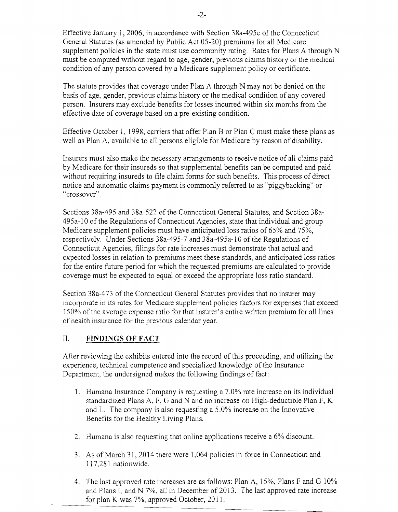Effective January 1,2006, in accordance with Section 38a-495c of the Connecticut General Statutes (as amended by Public Act 05-20) premiums for all Medicare supplement policies in the state must use community rating. Rates for Plans A through N must be computed without regard to age, gender, previous claims history or the medical condition of any person covered by a Medicare supplement policy or certificate.

The statute provides that coverage under Plan A through N may not be denied on the basis of age, gender, previous claims history or the medical condition of any covered person. Insurers may exclude benefits for losses incurred within six months from the effective date of coverage based on a pre-existing condition.

Effective October 1, 1998, carriers that offer Plan B or Plan C must make these plans as well as Plan A, available to all persons eligible for Medicare by reason of disability.

Insurers must also make the necessary arrangements to receive notice of all claims paid by Medicare for their insureds so that supplemental benefits can be computed and paid without requiring insureds to file claim forms for such benefits. This process of direct notice and automatic claims payment is commonly referred to as "piggybacking" or "crossover".

Sections 38a-495 and 38a-522 of the Connecticut General Statutes, and Section 38a-495a-10 of the Regulations of Connecticut Agencies, state that individual and group Medicare supplement policies must have anticipated loss ratios of 65% and 75%, respectively. Under Sections 38a-495-7 and 38a-495a-10 of the Regulations of Connecticut Agencies, filings for rate increases must demonstrate that actual and expected losses in relation to premiums meet these standards, and anticipated loss ratios for the entire future period for which the requested premiums are calculated to provide coverage must be expected to equal or exceed the appropriate loss ratio standard.

Section 38a-473 of the Connecticut General Statutes provides that no insurer may incorporate in its rates for Medicare supplement policies factors for expenses that exceed 150% of the average expense ratio for that insurer's entire written premium for all lines of health insurance for the previous calendar year.

# II. **FINDINGS OF FACT**

After reviewing the exhibits entered into the record of this proceeding, and utilizing the experience, technical competence and specialized knowledge of the Insurance Department, the undersigned makes the following findings of fact:

- 1. Humana Insurance Company is requesting a 7.0% rate increase on its individual standardized Plans A, F, G and N and no increase on High-deductible Plan F, K and L. The company is also requesting a 5.0% increase on the Innovative Benefits for the Healthy Living Plans.
- 2. Humana is also requesting that online applications receive a 6% discount.
- 3. As of March 31, 2014 there were 1,064 policies in-force in Connecticut and 117,281 nationwide.
- 4. The last approved rate increases are as follows: Plan A, 15%, Plans F and G 10% and Plans L and N  $7\%$ , all in December of 2013. The last approved rate increase for plan K was 7%, approved October, 2011.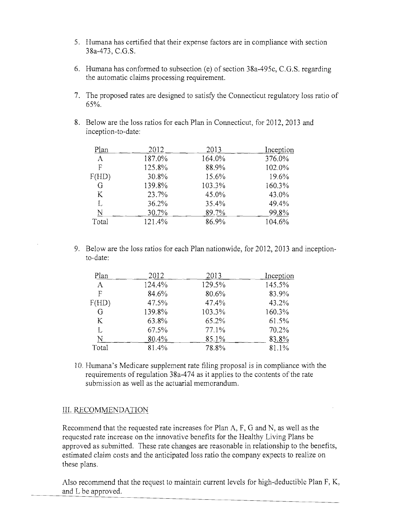- 5. Humana has certified that their expense factors are in compliance with section 38a-473, C.G.S.
- 6. Humana has conformed to subsection (e) of section  $38a-495c$ , C.G.S. regarding the automatic claims processing requirement.
- 7. The proposed rates are designed to satisfy the Connecticut regulatory loss ratio of 65%.
- 8. Below are the loss ratios for each Plan in Connecticut, for 2012, 2013 and inception-to-date:

| Plan     | 2012   | 2013   | Inception |
|----------|--------|--------|-----------|
| $\bf{A}$ | 187.0% | 164.0% | 376.0%    |
| F        | 125.8% | 88.9%  | 102.0%    |
| F(HD)    | 30.8%  | 15.6%  | 19.6%     |
| G        | 139.8% | 103.3% | 160.3%    |
| K.       | 23.7%  | 45.0%  | 43.0%     |
| L        | 36.2%  | 35.4%  | 49.4%     |
| N        | 30.7%  | 89.7%  | 99.8%     |
| Total    | 121.4% | 86.9%  | 104.6%    |

9. Below are the loss ratios for each Plan nationwide, for 2012, 2013 and inceptionto-date:

| Plan  | 2012   | 2013   | Inception |
|-------|--------|--------|-----------|
| A     | 124.4% | 129.5% | 145.5%    |
| F     | 84.6%  | 80.6%  | 83.9%     |
| F(HD) | 47.5%  | 47.4%  | 43.2%     |
| G     | 139.8% | 103.3% | 160.3%    |
| K     | 63.8%  | 65.2%  | 61.5%     |
| L     | 67.5%  | 77.1%  | 70.2%     |
| N     | 80.4%  | 85.1%  | 83.8%     |
| Total | 81.4%  | 78.8%  | 81.1%     |

10. Humana's Medicare supplement rate filing proposal is in compliance with the requirements of regulation 38a-474 as it applies to the contents of the rate submission as well as the actuarial memorandum.

### III. RECOMMENDATION

Recommend that the requested rate increases for Plan A, F, G and N, as well as the requested rate increase on the innovative benefits for the Healthy Living Plans be approved as submitted. These rate changes are reasonable in relationship to the benefits, estimated claim costs and the anticipated loss ratio the company expects to realize on these plans.

Also recommend that the request to maintain current levels for high-deductible Plan F, K, and L be approved.